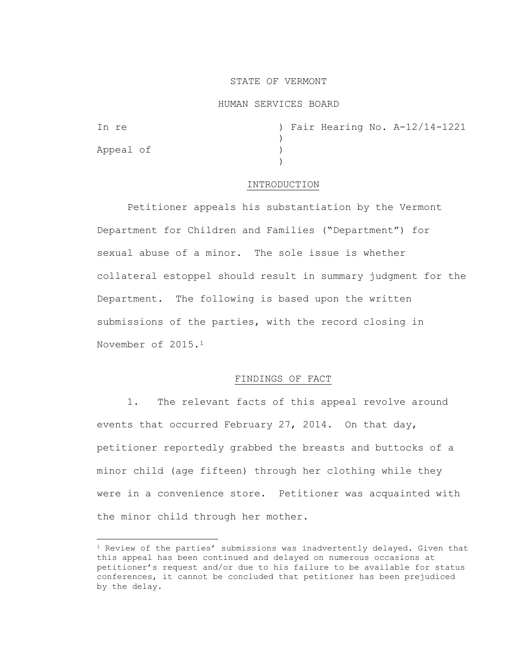### STATE OF VERMONT

#### HUMAN SERVICES BOARD

Appeal of )

In re ) Fair Hearing No. A-12/14-1221  $\lambda$ )

#### INTRODUCTION

Petitioner appeals his substantiation by the Vermont Department for Children and Families ("Department") for sexual abuse of a minor. The sole issue is whether collateral estoppel should result in summary judgment for the Department. The following is based upon the written submissions of the parties, with the record closing in November of 2015.<sup>1</sup>

#### FINDINGS OF FACT

1. The relevant facts of this appeal revolve around events that occurred February 27, 2014. On that day, petitioner reportedly grabbed the breasts and buttocks of a minor child (age fifteen) through her clothing while they were in a convenience store. Petitioner was acquainted with the minor child through her mother.

<sup>1</sup> Review of the parties' submissions was inadvertently delayed. Given that this appeal has been continued and delayed on numerous occasions at petitioner's request and/or due to his failure to be available for status conferences, it cannot be concluded that petitioner has been prejudiced by the delay.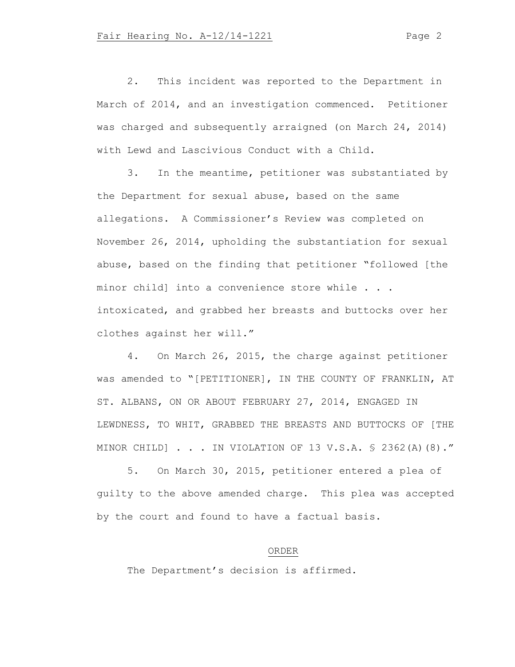2. This incident was reported to the Department in March of 2014, and an investigation commenced. Petitioner was charged and subsequently arraigned (on March 24, 2014) with Lewd and Lascivious Conduct with a Child.

3. In the meantime, petitioner was substantiated by the Department for sexual abuse, based on the same allegations. A Commissioner's Review was completed on November 26, 2014, upholding the substantiation for sexual abuse, based on the finding that petitioner "followed [the minor child] into a convenience store while . . . intoxicated, and grabbed her breasts and buttocks over her clothes against her will."

4. On March 26, 2015, the charge against petitioner was amended to "[PETITIONER], IN THE COUNTY OF FRANKLIN, AT ST. ALBANS, ON OR ABOUT FEBRUARY 27, 2014, ENGAGED IN LEWDNESS, TO WHIT, GRABBED THE BREASTS AND BUTTOCKS OF [THE MINOR CHILD] . . . IN VIOLATION OF 13 V.S.A. § 2362(A)(8)."

5. On March 30, 2015, petitioner entered a plea of guilty to the above amended charge. This plea was accepted by the court and found to have a factual basis.

## ORDER

The Department's decision is affirmed.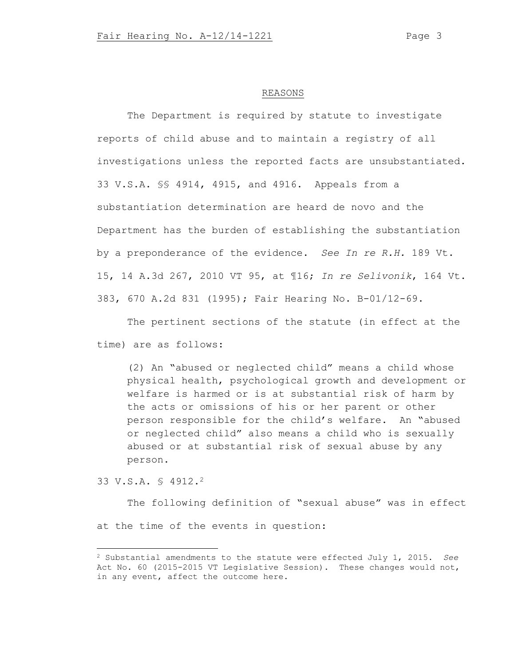# REASONS

The Department is required by statute to investigate reports of child abuse and to maintain a registry of all investigations unless the reported facts are unsubstantiated. 33 V.S.A. §§ 4914, 4915, and 4916. Appeals from a substantiation determination are heard de novo and the Department has the burden of establishing the substantiation by a preponderance of the evidence. *See In re R.H.* 189 Vt. 15, 14 A.3d 267, 2010 VT 95, at ¶16; *In re Selivonik*, 164 Vt. 383, 670 A.2d 831 (1995); Fair Hearing No. B-01/12-69.

The pertinent sections of the statute (in effect at the time) are as follows:

(2) An "abused or neglected child" means a child whose physical health, psychological growth and development or welfare is harmed or is at substantial risk of harm by the acts or omissions of his or her parent or other person responsible for the child's welfare. An "abused or neglected child" also means a child who is sexually abused or at substantial risk of sexual abuse by any person.

33 V.S.A. § 4912.<sup>2</sup>

The following definition of "sexual abuse" was in effect at the time of the events in question:

<sup>2</sup> Substantial amendments to the statute were effected July 1, 2015. *See* Act No. 60 (2015-2015 VT Legislative Session). These changes would not, in any event, affect the outcome here.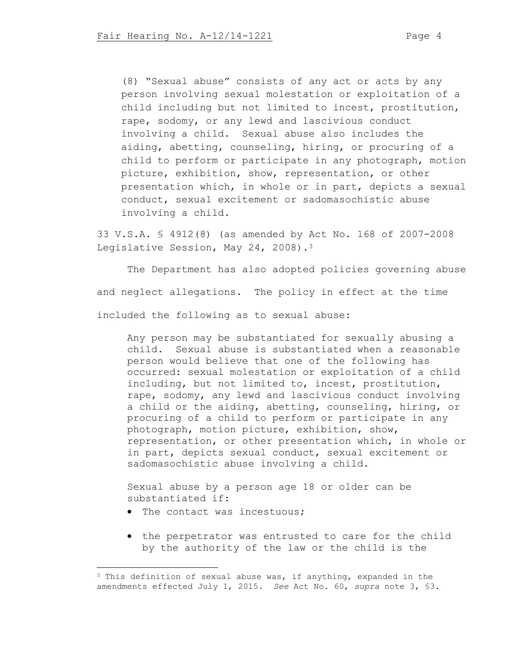(8) "Sexual abuse" consists of any act or acts by any person involving sexual molestation or exploitation of a child including but not limited to incest, prostitution, rape, sodomy, or any lewd and lascivious conduct involving a child. Sexual abuse also includes the aiding, abetting, counseling, hiring, or procuring of a child to perform or participate in any photograph, motion picture, exhibition, show, representation, or other presentation which, in whole or in part, depicts a sexual conduct, sexual excitement or sadomasochistic abuse involving a child.

33 V.S.A. § 4912(8) (as amended by Act No. 168 of 2007-2008 Legislative Session, May 24, 2008).<sup>3</sup>

The Department has also adopted policies governing abuse and neglect allegations. The policy in effect at the time included the following as to sexual abuse:

Any person may be substantiated for sexually abusing a child. Sexual abuse is substantiated when a reasonable person would believe that one of the following has occurred: sexual molestation or exploitation of a child including, but not limited to, incest, prostitution, rape, sodomy, any lewd and lascivious conduct involving a child or the aiding, abetting, counseling, hiring, or procuring of a child to perform or participate in any photograph, motion picture, exhibition, show, representation, or other presentation which, in whole or in part, depicts sexual conduct, sexual excitement or sadomasochistic abuse involving a child.

Sexual abuse by a person age 18 or older can be substantiated if:

- The contact was incestuous;
- the perpetrator was entrusted to care for the child by the authority of the law or the child is the

 $3$  This definition of sexual abuse was, if anything, expanded in the amendments effected July 1, 2015. *See* Act No. 60, *supra* note 3, §3.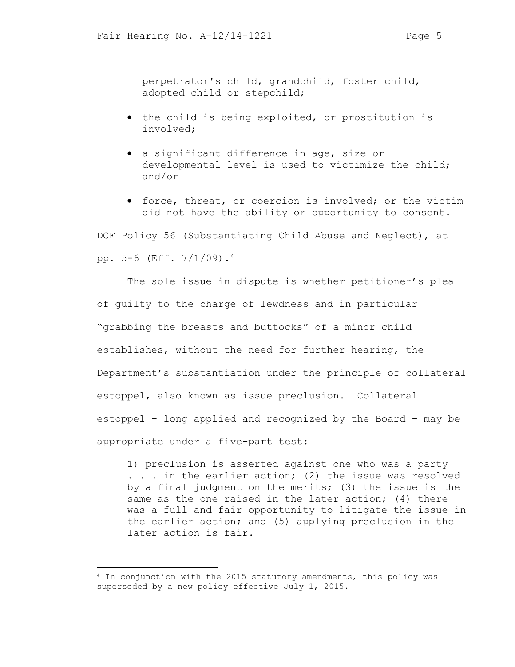perpetrator's child, grandchild, foster child, adopted child or stepchild;

- the child is being exploited, or prostitution is involved;
- a significant difference in age, size or developmental level is used to victimize the child; and/or
- force, threat, or coercion is involved; or the victim did not have the ability or opportunity to consent.

DCF Policy 56 (Substantiating Child Abuse and Neglect), at pp. 5-6 (Eff. 7/1/09).<sup>4</sup>

The sole issue in dispute is whether petitioner's plea of guilty to the charge of lewdness and in particular "grabbing the breasts and buttocks" of a minor child establishes, without the need for further hearing, the Department's substantiation under the principle of collateral estoppel, also known as issue preclusion. Collateral estoppel – long applied and recognized by the Board – may be appropriate under a five-part test:

1) preclusion is asserted against one who was a party . . . in the earlier action; (2) the issue was resolved by a final judgment on the merits; (3) the issue is the same as the one raised in the later action; (4) there was a full and fair opportunity to litigate the issue in the earlier action; and (5) applying preclusion in the later action is fair.

<sup>4</sup> In conjunction with the 2015 statutory amendments, this policy was superseded by a new policy effective July 1, 2015.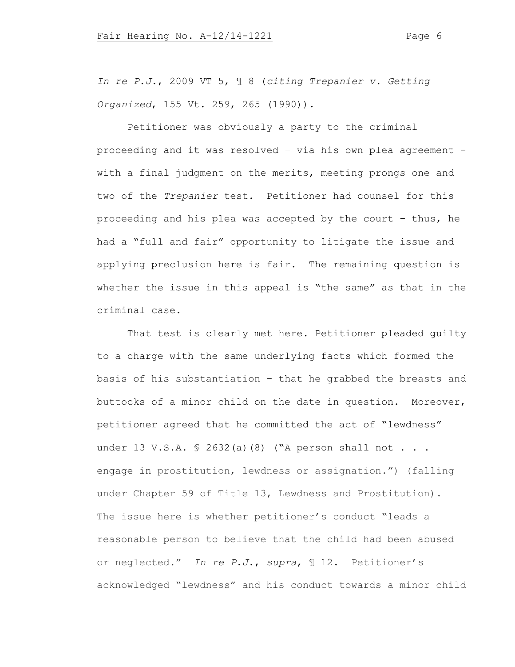*In re P.J.*, 2009 VT 5, ¶ 8 (*citing Trepanier v. Getting Organized*, 155 Vt. 259, 265 (1990)).

Petitioner was obviously a party to the criminal proceeding and it was resolved – via his own plea agreement with a final judgment on the merits, meeting prongs one and two of the *Trepanier* test. Petitioner had counsel for this proceeding and his plea was accepted by the court – thus, he had a "full and fair" opportunity to litigate the issue and applying preclusion here is fair. The remaining question is whether the issue in this appeal is "the same" as that in the criminal case.

That test is clearly met here. Petitioner pleaded guilty to a charge with the same underlying facts which formed the basis of his substantiation – that he grabbed the breasts and buttocks of a minor child on the date in question. Moreover, petitioner agreed that he committed the act of "lewdness" under 13 V.S.A. § 2632(a)(8) ("A person shall not . . . engage in prostitution, lewdness or assignation.") (falling under Chapter 59 of Title 13, Lewdness and Prostitution). The issue here is whether petitioner's conduct "leads a reasonable person to believe that the child had been abused or neglected." *In re P.J.*, *supra*, ¶ 12. Petitioner's acknowledged "lewdness" and his conduct towards a minor child